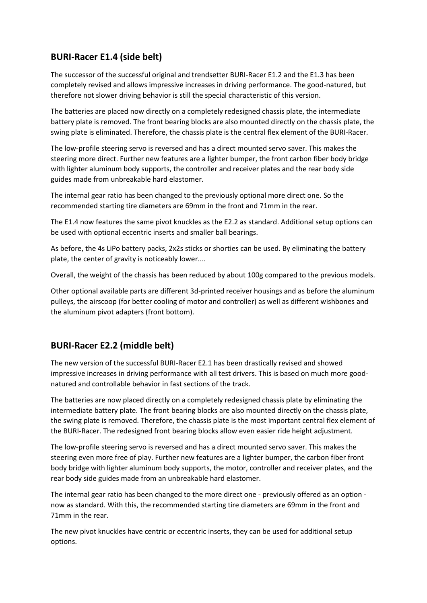## **BURI-Racer E1.4 (side belt)**

The successor of the successful original and trendsetter BURI-Racer E1.2 and the E1.3 has been completely revised and allows impressive increases in driving performance. The good-natured, but therefore not slower driving behavior is still the special characteristic of this version.

The batteries are placed now directly on a completely redesigned chassis plate, the intermediate battery plate is removed. The front bearing blocks are also mounted directly on the chassis plate, the swing plate is eliminated. Therefore, the chassis plate is the central flex element of the BURI-Racer.

The low-profile steering servo is reversed and has a direct mounted servo saver. This makes the steering more direct. Further new features are a lighter bumper, the front carbon fiber body bridge with lighter aluminum body supports, the controller and receiver plates and the rear body side guides made from unbreakable hard elastomer.

The internal gear ratio has been changed to the previously optional more direct one. So the recommended starting tire diameters are 69mm in the front and 71mm in the rear.

The E1.4 now features the same pivot knuckles as the E2.2 as standard. Additional setup options can be used with optional eccentric inserts and smaller ball bearings.

As before, the 4s LiPo battery packs, 2x2s sticks or shorties can be used. By eliminating the battery plate, the center of gravity is noticeably lower....

Overall, the weight of the chassis has been reduced by about 100g compared to the previous models.

Other optional available parts are different 3d-printed receiver housings and as before the aluminum pulleys, the airscoop (for better cooling of motor and controller) as well as different wishbones and the aluminum pivot adapters (front bottom).

## **BURI-Racer E2.2 (middle belt)**

The new version of the successful BURI-Racer E2.1 has been drastically revised and showed impressive increases in driving performance with all test drivers. This is based on much more goodnatured and controllable behavior in fast sections of the track.

The batteries are now placed directly on a completely redesigned chassis plate by eliminating the intermediate battery plate. The front bearing blocks are also mounted directly on the chassis plate, the swing plate is removed. Therefore, the chassis plate is the most important central flex element of the BURI-Racer. The redesigned front bearing blocks allow even easier ride height adjustment.

The low-profile steering servo is reversed and has a direct mounted servo saver. This makes the steering even more free of play. Further new features are a lighter bumper, the carbon fiber front body bridge with lighter aluminum body supports, the motor, controller and receiver plates, and the rear body side guides made from an unbreakable hard elastomer.

The internal gear ratio has been changed to the more direct one - previously offered as an option now as standard. With this, the recommended starting tire diameters are 69mm in the front and 71mm in the rear.

The new pivot knuckles have centric or eccentric inserts, they can be used for additional setup options.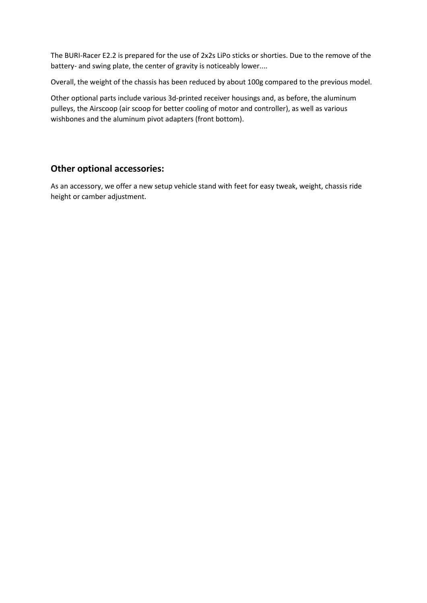The BURI-Racer E2.2 is prepared for the use of 2x2s LiPo sticks or shorties. Due to the remove of the battery- and swing plate, the center of gravity is noticeably lower....

Overall, the weight of the chassis has been reduced by about 100g compared to the previous model.

Other optional parts include various 3d-printed receiver housings and, as before, the aluminum pulleys, the Airscoop (air scoop for better cooling of motor and controller), as well as various wishbones and the aluminum pivot adapters (front bottom).

## **Other optional accessories:**

As an accessory, we offer a new setup vehicle stand with feet for easy tweak, weight, chassis ride height or camber adjustment.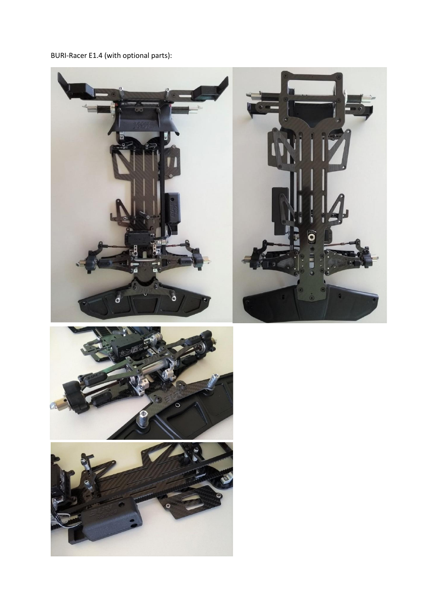BURI-Racer E1.4 (with optional parts):





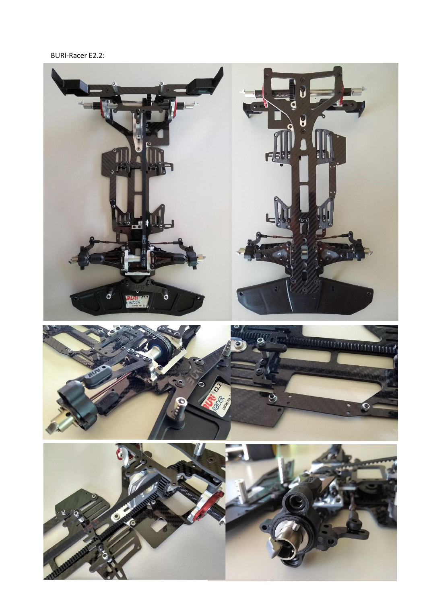## BURI-Racer E2.2: